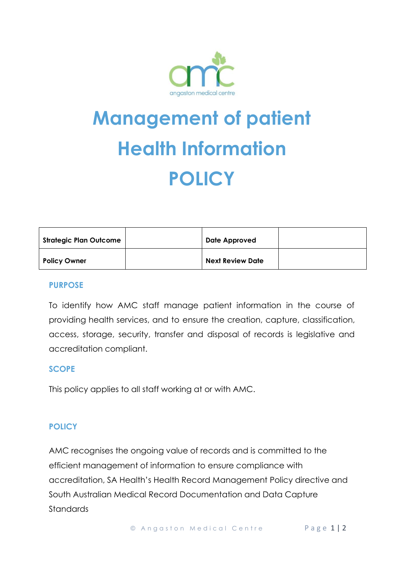

# **Management of patient Health Information POLICY**

| <b>Strategic Plan Outcome</b> | Date Approved           |  |
|-------------------------------|-------------------------|--|
| <b>Policy Owner</b>           | <b>Next Review Date</b> |  |

#### **PURPOSE**

To identify how AMC staff manage patient information in the course of providing health services, and to ensure the creation, capture, classification, access, storage, security, transfer and disposal of records is legislative and accreditation compliant.

### **SCOPE**

This policy applies to all staff working at or with AMC.

### **POLICY**

AMC recognises the ongoing value of records and is committed to the efficient management of information to ensure compliance with accreditation, SA Health's Health Record Management Policy directive and South Australian Medical Record Documentation and Data Capture Standards